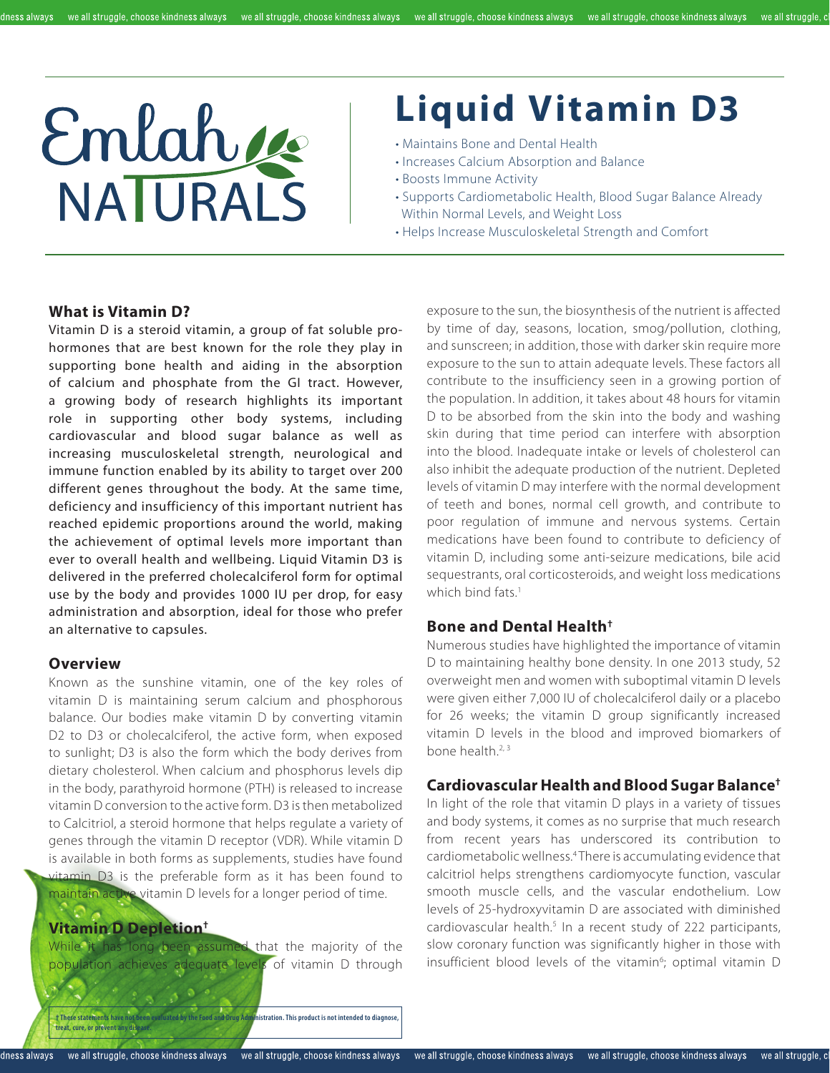#### dness always

# Emlah

## **Liquid Vitamin D3**

- Maintains Bone and Dental Health
- Increases Calcium Absorption and Balance
- Boosts Immune Activity
- Supports Cardiometabolic Health, Blood Sugar Balance Already Within Normal Levels, and Weight Loss
- Helps Increase Musculoskeletal Strength and Comfort

#### **What is Vitamin D?**

Vitamin D is a steroid vitamin, a group of fat soluble prohormones that are best known for the role they play in supporting bone health and aiding in the absorption of calcium and phosphate from the GI tract. However, a growing body of research highlights its important role in supporting other body systems, including cardiovascular and blood sugar balance as well as increasing musculoskeletal strength, neurological and immune function enabled by its ability to target over 200 different genes throughout the body. At the same time, deficiency and insufficiency of this important nutrient has reached epidemic proportions around the world, making the achievement of optimal levels more important than ever to overall health and wellbeing. Liquid Vitamin D3 is delivered in the preferred cholecalciferol form for optimal use by the body and provides 1000 IU per drop, for easy administration and absorption, ideal for those who prefer an alternative to capsules.

#### **Overview**

Known as the sunshine vitamin, one of the key roles of vitamin D is maintaining serum calcium and phosphorous balance. Our bodies make vitamin D by converting vitamin D2 to D3 or cholecalciferol, the active form, when exposed to sunlight; D3 is also the form which the body derives from dietary cholesterol. When calcium and phosphorus levels dip in the body, parathyroid hormone (PTH) is released to increase vitamin D conversion to the active form. D3 is then metabolized to Calcitriol, a steroid hormone that helps regulate a variety of genes through the vitamin D receptor (VDR). While vitamin D is available in both forms as supplements, studies have found vitamin D3 is the preferable form as it has been found to maintain active vitamin D levels for a longer period of time.

### **Vitamin D Depletion†**

While it has long been assumed that the majority of the population achieves adequate levels of vitamin D through

**† These statements have not been evaluated by the Food and Drug Administration. This product is not intended to diagnose, treat, cure, or prevent any discrete** 

exposure to the sun, the biosynthesis of the nutrient is affected by time of day, seasons, location, smog/pollution, clothing, and sunscreen; in addition, those with darker skin require more exposure to the sun to attain adequate levels. These factors all contribute to the insufficiency seen in a growing portion of the population. In addition, it takes about 48 hours for vitamin D to be absorbed from the skin into the body and washing skin during that time period can interfere with absorption into the blood. Inadequate intake or levels of cholesterol can also inhibit the adequate production of the nutrient. Depleted levels of vitamin D may interfere with the normal development of teeth and bones, normal cell growth, and contribute to poor regulation of immune and nervous systems. Certain medications have been found to contribute to deficiency of vitamin D, including some anti-seizure medications, bile acid sequestrants, oral corticosteroids, and weight loss medications which bind fats<sup>1</sup>

#### **Bone and Dental Health†**

Numerous studies have highlighted the importance of vitamin D to maintaining healthy bone density. In one 2013 study, 52 overweight men and women with suboptimal vitamin D levels were given either 7,000 IU of cholecalciferol daily or a placebo for 26 weeks; the vitamin D group significantly increased vitamin D levels in the blood and improved biomarkers of bone health.<sup>2, 3</sup>

#### **Cardiovascular Health and Blood Sugar Balance†**

In light of the role that vitamin D plays in a variety of tissues and body systems, it comes as no surprise that much research from recent years has underscored its contribution to cardiometabolic wellness.4 There is accumulating evidence that calcitriol helps strengthens cardiomyocyte function, vascular smooth muscle cells, and the vascular endothelium. Low levels of 25-hydroxyvitamin D are associated with diminished cardiovascular health.<sup>5</sup> In a recent study of 222 participants, slow coronary function was significantly higher in those with insufficient blood levels of the vitamin<sup>6</sup>; optimal vitamin D

dness always we all struggle, choose kindness always we all struggle, choose kindness always we all struggle, choose kindness always we all struggle, choose kindness always we all struggle, choose kindness always we all st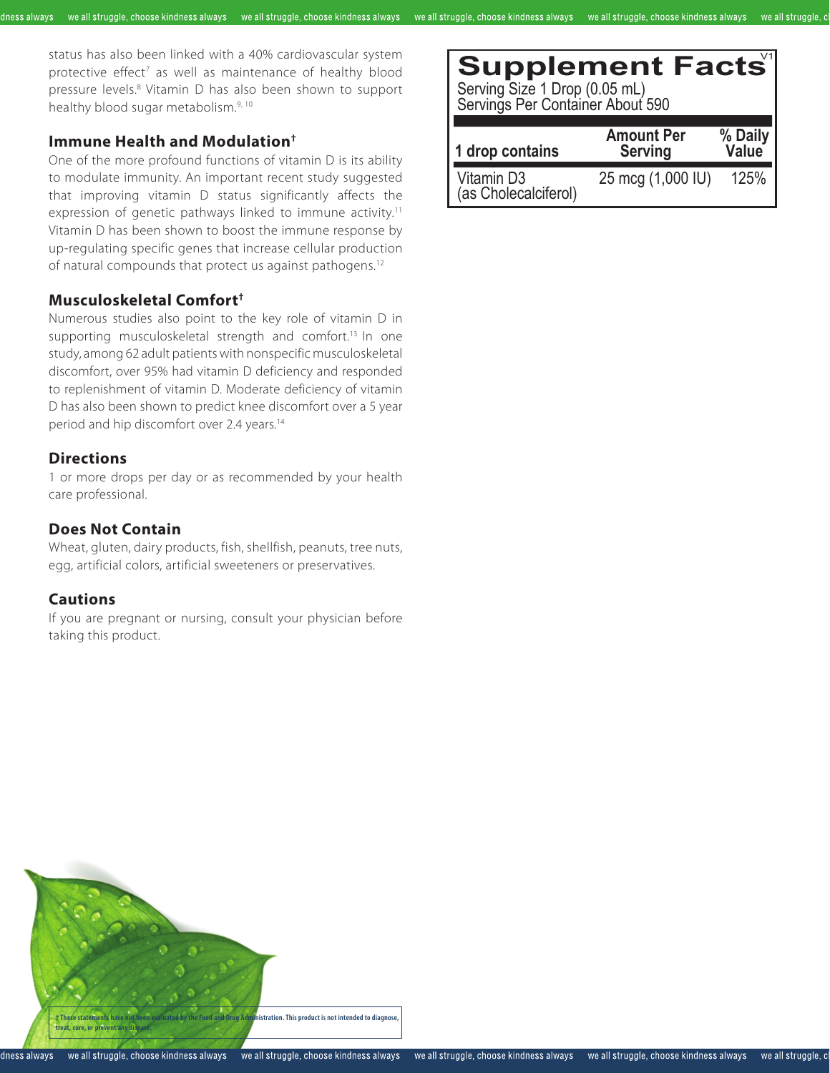status has also been linked with a 40% cardiovascular system protective effect<sup>7</sup> as well as maintenance of healthy blood pressure levels.<sup>8</sup> Vitamin D has also been shown to support healthy blood sugar metabolism.<sup>9, 10</sup>

#### **Immune Health and Modulation†**

One of the more profound functions of vitamin D is its ability to modulate immunity. An important recent study suggested that improving vitamin D status significantly affects the expression of genetic pathways linked to immune activity.<sup>11</sup> Vitamin D has been shown to boost the immune response by up-regulating specific genes that increase cellular production of natural compounds that protect us against pathogens.<sup>12</sup>

#### **Musculoskeletal Comfort†**

Numerous studies also point to the key role of vitamin D in supporting musculoskeletal strength and comfort.<sup>13</sup> In one study, among 62 adult patients with nonspecific musculoskeletal discomfort, over 95% had vitamin D deficiency and responded to replenishment of vitamin D. Moderate deficiency of vitamin D has also been shown to predict knee discomfort over a 5 year period and hip discomfort over 2.4 years.<sup>14</sup>

#### **Directions**

dness always

1 or more drops per day or as recommended by your health care professional.

#### **Does Not Contain**

Wheat, gluten, dairy products, fish, shellfish, peanuts, tree nuts, egg, artificial colors, artificial sweeteners or preservatives.

#### **Cautions**

**treat, cure, or prevent** 

If you are pregnant or nursing, consult your physician before taking this product.

| <b>Supplement Facts</b><br>Serving Size 1 Drop (0.05 mL)<br>Servings Per Container About 590 |                                     |                  |
|----------------------------------------------------------------------------------------------|-------------------------------------|------------------|
| 1 drop contains                                                                              | <b>Amount Per</b><br><b>Serving</b> | % Daily<br>Value |
| Vitamin D3<br>(as Cholecalciferol)                                                           | 25 mcg (1,000 IU)                   | 125%             |

we all struggle, choose kindness always we all struggle, choose kindness always we all struggle, choose kindness always we all struggle, choose kindness always we all struggle, choose kindness always we all struggle, c

**† These statements have not been evaluated by the Food and Drug Administration. This product is not intended to diagnose,**